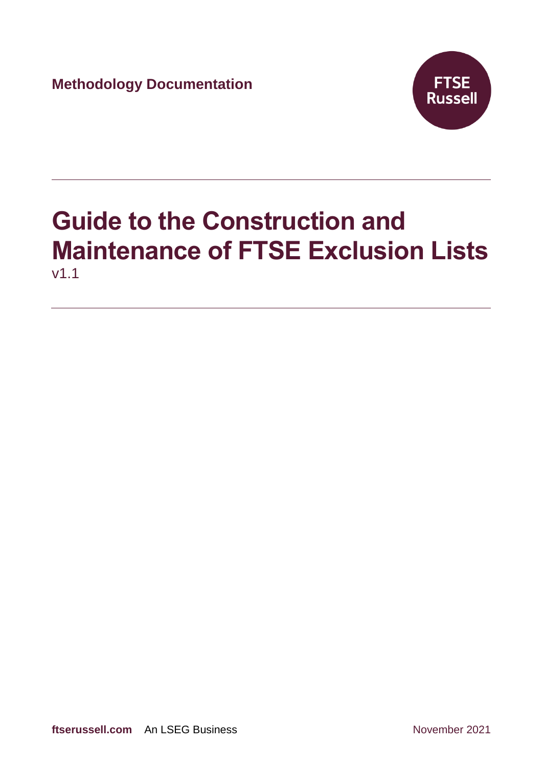**Methodology Documentation**



# **Guide to the Construction and Maintenance of FTSE Exclusion Lists** v1.1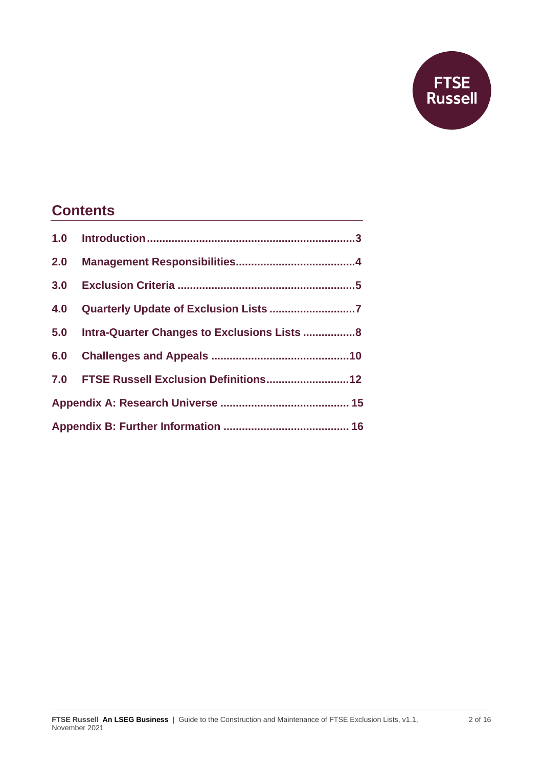

### **Contents**

| 2.0 |                                                  |  |
|-----|--------------------------------------------------|--|
|     |                                                  |  |
| 4.0 |                                                  |  |
|     | 5.0 Intra-Quarter Changes to Exclusions Lists  8 |  |
|     |                                                  |  |
|     |                                                  |  |
|     |                                                  |  |
|     |                                                  |  |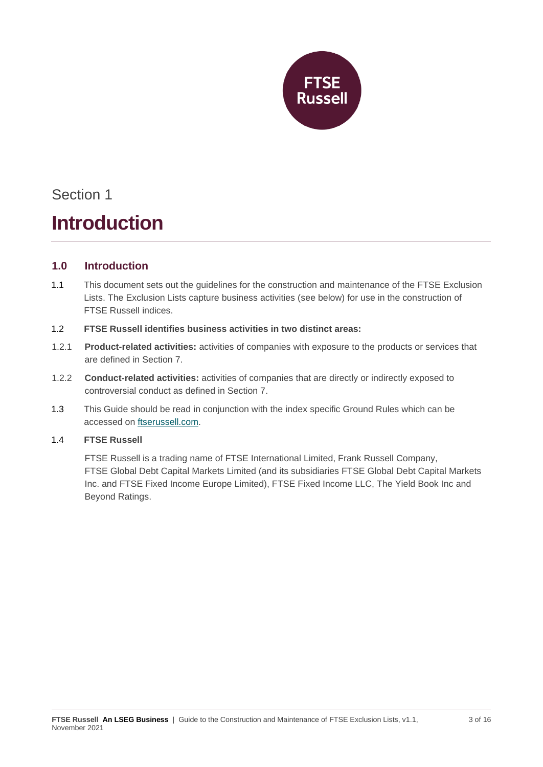

### **Introduction**

#### **1.0 Introduction**

- 1.1 This document sets out the guidelines for the construction and maintenance of the FTSE Exclusion Lists. The Exclusion Lists capture business activities (see below) for use in the construction of FTSE Russell indices.
- 1.2 **FTSE Russell identifies business activities in two distinct areas:**
- 1.2.1 **Product-related activities:** activities of companies with exposure to the products or services that are defined in Section 7.
- 1.2.2 **Conduct-related activities:** activities of companies that are directly or indirectly exposed to controversial conduct as defined in Section 7.
- 1.3 This Guide should be read in conjunction with the index specific Ground Rules which can be accessed on [ftserussell.com.](http://www.ftserussell.com/)

#### 1.4 **FTSE Russell**

FTSE Russell is a trading name of FTSE International Limited, Frank Russell Company, FTSE Global Debt Capital Markets Limited (and its subsidiaries FTSE Global Debt Capital Markets Inc. and FTSE Fixed Income Europe Limited), FTSE Fixed Income LLC, The Yield Book Inc and Beyond Ratings.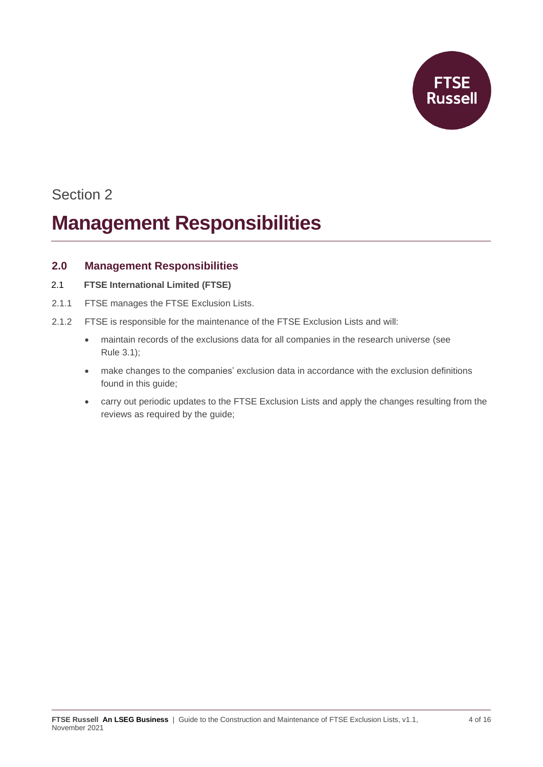

### **Management Responsibilities**

#### **2.0 Management Responsibilities**

- 2.1 **FTSE International Limited (FTSE)**
- 2.1.1 FTSE manages the FTSE Exclusion Lists.
- 2.1.2 FTSE is responsible for the maintenance of the FTSE Exclusion Lists and will:
	- maintain records of the exclusions data for all companies in the research universe (see Rule 3.1);
	- make changes to the companies' exclusion data in accordance with the exclusion definitions found in this guide;
	- carry out periodic updates to the FTSE Exclusion Lists and apply the changes resulting from the reviews as required by the guide;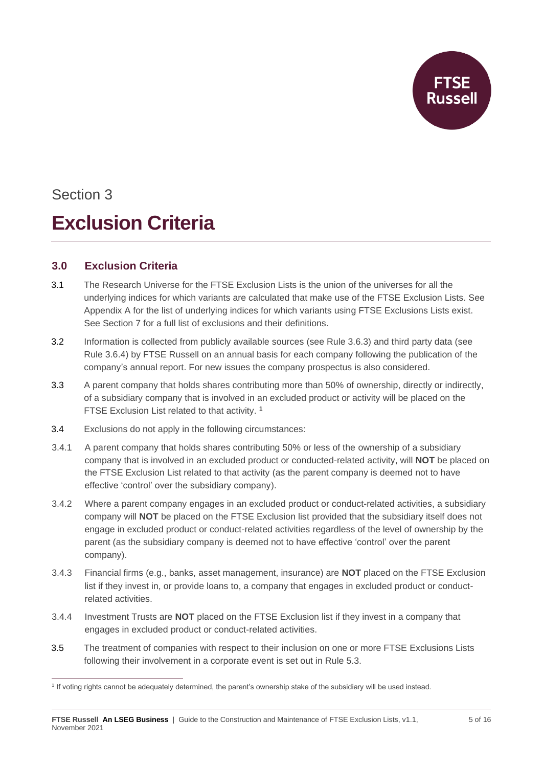

## Section 3 **Exclusion Criteria**

#### **3.0 Exclusion Criteria**

- 3.1 The Research Universe for the FTSE Exclusion Lists is the union of the universes for all the underlying indices for which variants are calculated that make use of the FTSE Exclusion Lists. See Appendix A for the list of underlying indices for which variants using FTSE Exclusions Lists exist. See Section 7 for a full list of exclusions and their definitions.
- 3.2 Information is collected from publicly available sources (see Rule 3.6.3) and third party data (see Rule 3.6.4) by FTSE Russell on an annual basis for each company following the publication of the company's annual report. For new issues the company prospectus is also considered.
- 3.3 A parent company that holds shares contributing more than 50% of ownership, directly or indirectly, of a subsidiary company that is involved in an excluded product or activity will be placed on the FTSE Exclusion List related to that activity. **<sup>1</sup>**
- 3.4 Exclusions do not apply in the following circumstances:
- 3.4.1 A parent company that holds shares contributing 50% or less of the ownership of a subsidiary company that is involved in an excluded product or conducted-related activity, will **NOT** be placed on the FTSE Exclusion List related to that activity (as the parent company is deemed not to have effective 'control' over the subsidiary company).
- 3.4.2 Where a parent company engages in an excluded product or conduct-related activities, a subsidiary company will **NOT** be placed on the FTSE Exclusion list provided that the subsidiary itself does not engage in excluded product or conduct-related activities regardless of the level of ownership by the parent (as the subsidiary company is deemed not to have effective 'control' over the parent company).
- 3.4.3 Financial firms (e.g., banks, asset management, insurance) are **NOT** placed on the FTSE Exclusion list if they invest in, or provide loans to, a company that engages in excluded product or conductrelated activities.
- 3.4.4 Investment Trusts are **NOT** placed on the FTSE Exclusion list if they invest in a company that engages in excluded product or conduct-related activities.
- 3.5 The treatment of companies with respect to their inclusion on one or more FTSE Exclusions Lists following their involvement in a corporate event is set out in Rule 5.3.

<sup>1</sup> If voting rights cannot be adequately determined, the parent's ownership stake of the subsidiary will be used instead.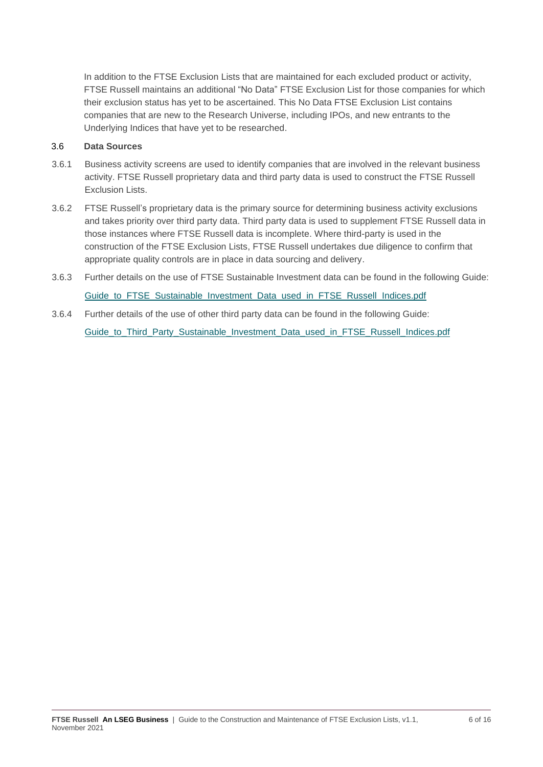In addition to the FTSE Exclusion Lists that are maintained for each excluded product or activity, FTSE Russell maintains an additional "No Data" FTSE Exclusion List for those companies for which their exclusion status has yet to be ascertained. This No Data FTSE Exclusion List contains companies that are new to the Research Universe, including IPOs, and new entrants to the Underlying Indices that have yet to be researched.

#### 3.6 **Data Sources**

- 3.6.1 Business activity screens are used to identify companies that are involved in the relevant business activity. FTSE Russell proprietary data and third party data is used to construct the FTSE Russell Exclusion Lists.
- 3.6.2 FTSE Russell's proprietary data is the primary source for determining business activity exclusions and takes priority over third party data. Third party data is used to supplement FTSE Russell data in those instances where FTSE Russell data is incomplete. Where third-party is used in the construction of the FTSE Exclusion Lists, FTSE Russell undertakes due diligence to confirm that appropriate quality controls are in place in data sourcing and delivery.
- 3.6.3 Further details on the use of FTSE Sustainable Investment data can be found in the following Guide: Guide to FTSE Sustainable Investment Data used in FTSE Russell Indices.pdf
- 3.6.4 Further details of the use of other third party data can be found in the following Guide: Guide to Third Party Sustainable Investment Data used in FTSE Russell Indices.pdf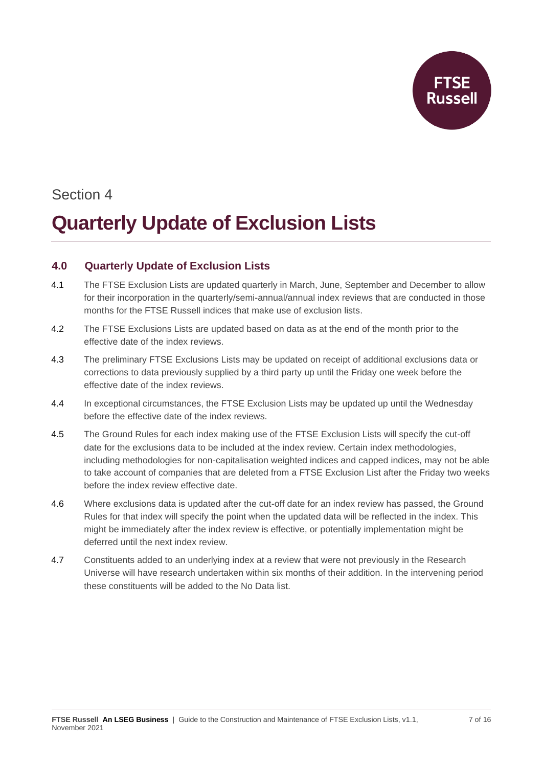

## **Quarterly Update of Exclusion Lists**

#### **4.0 Quarterly Update of Exclusion Lists**

- 4.1 The FTSE Exclusion Lists are updated quarterly in March, June, September and December to allow for their incorporation in the quarterly/semi-annual/annual index reviews that are conducted in those months for the FTSE Russell indices that make use of exclusion lists.
- 4.2 The FTSE Exclusions Lists are updated based on data as at the end of the month prior to the effective date of the index reviews.
- 4.3 The preliminary FTSE Exclusions Lists may be updated on receipt of additional exclusions data or corrections to data previously supplied by a third party up until the Friday one week before the effective date of the index reviews.
- 4.4 In exceptional circumstances, the FTSE Exclusion Lists may be updated up until the Wednesday before the effective date of the index reviews.
- 4.5 The Ground Rules for each index making use of the FTSE Exclusion Lists will specify the cut-off date for the exclusions data to be included at the index review. Certain index methodologies, including methodologies for non-capitalisation weighted indices and capped indices, may not be able to take account of companies that are deleted from a FTSE Exclusion List after the Friday two weeks before the index review effective date.
- 4.6 Where exclusions data is updated after the cut-off date for an index review has passed, the Ground Rules for that index will specify the point when the updated data will be reflected in the index. This might be immediately after the index review is effective, or potentially implementation might be deferred until the next index review.
- 4.7 Constituents added to an underlying index at a review that were not previously in the Research Universe will have research undertaken within six months of their addition. In the intervening period these constituents will be added to the No Data list.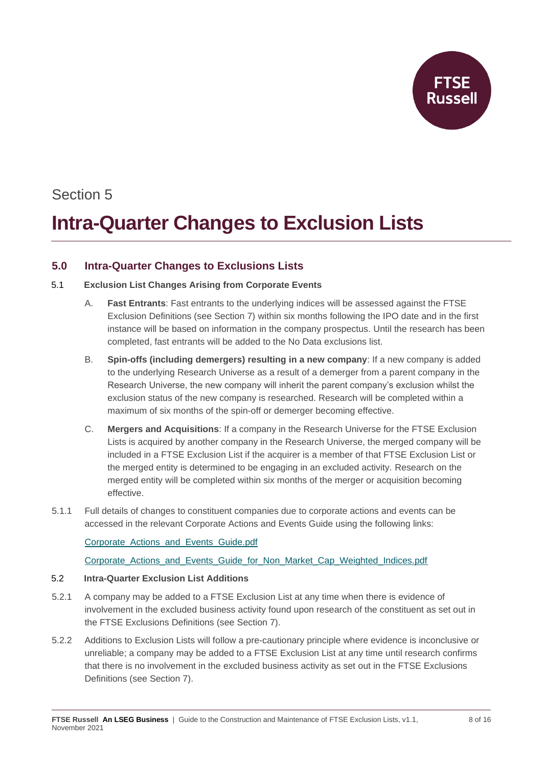

## **Intra-Quarter Changes to Exclusion Lists**

#### **5.0 Intra-Quarter Changes to Exclusions Lists**

#### 5.1 **Exclusion List Changes Arising from Corporate Events**

- A. **Fast Entrants**: Fast entrants to the underlying indices will be assessed against the FTSE Exclusion Definitions (see Section 7) within six months following the IPO date and in the first instance will be based on information in the company prospectus. Until the research has been completed, fast entrants will be added to the No Data exclusions list.
- B. **Spin-offs (including demergers) resulting in a new company**: If a new company is added to the underlying Research Universe as a result of a demerger from a parent company in the Research Universe, the new company will inherit the parent company's exclusion whilst the exclusion status of the new company is researched. Research will be completed within a maximum of six months of the spin-off or demerger becoming effective.
- C. **Mergers and Acquisitions**: If a company in the Research Universe for the FTSE Exclusion Lists is acquired by another company in the Research Universe, the merged company will be included in a FTSE Exclusion List if the acquirer is a member of that FTSE Exclusion List or the merged entity is determined to be engaging in an excluded activity. Research on the merged entity will be completed within six months of the merger or acquisition becoming effective.
- 5.1.1 Full details of changes to constituent companies due to corporate actions and events can be accessed in the relevant Corporate Actions and Events Guide using the following links:

[Corporate\\_Actions\\_and\\_Events\\_Guide.pdf](https://research.ftserussell.com/products/downloads/Corporate_Actions_and_Events_Guide.pdf)

Corporate Actions and Events Guide for Non Market Cap Weighted Indices.pdf

#### 5.2 **Intra-Quarter Exclusion List Additions**

- 5.2.1 A company may be added to a FTSE Exclusion List at any time when there is evidence of involvement in the excluded business activity found upon research of the constituent as set out in the FTSE Exclusions Definitions (see Section 7).
- 5.2.2 Additions to Exclusion Lists will follow a pre-cautionary principle where evidence is inconclusive or unreliable; a company may be added to a FTSE Exclusion List at any time until research confirms that there is no involvement in the excluded business activity as set out in the FTSE Exclusions Definitions (see Section 7).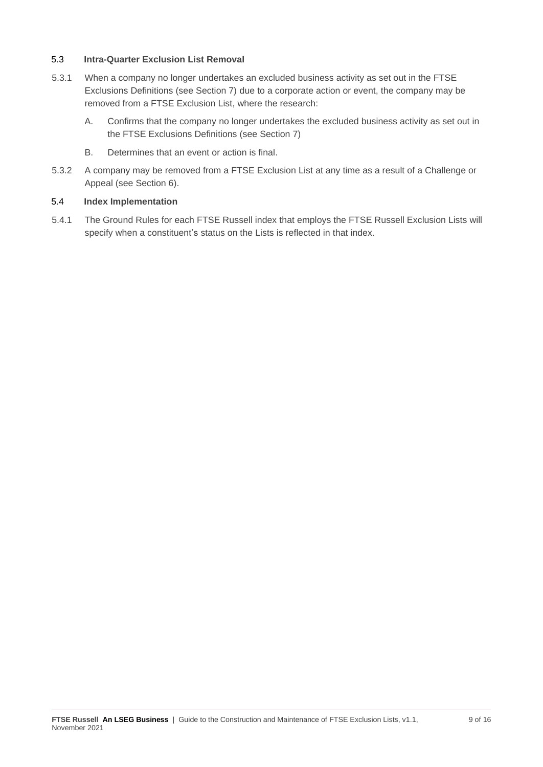#### 5.3 **Intra-Quarter Exclusion List Removal**

- 5.3.1 When a company no longer undertakes an excluded business activity as set out in the FTSE Exclusions Definitions (see Section 7) due to a corporate action or event, the company may be removed from a FTSE Exclusion List, where the research:
	- A. Confirms that the company no longer undertakes the excluded business activity as set out in the FTSE Exclusions Definitions (see Section 7)
	- B. Determines that an event or action is final.
- 5.3.2 A company may be removed from a FTSE Exclusion List at any time as a result of a Challenge or Appeal (see Section 6).

#### 5.4 **Index Implementation**

5.4.1 The Ground Rules for each FTSE Russell index that employs the FTSE Russell Exclusion Lists will specify when a constituent's status on the Lists is reflected in that index.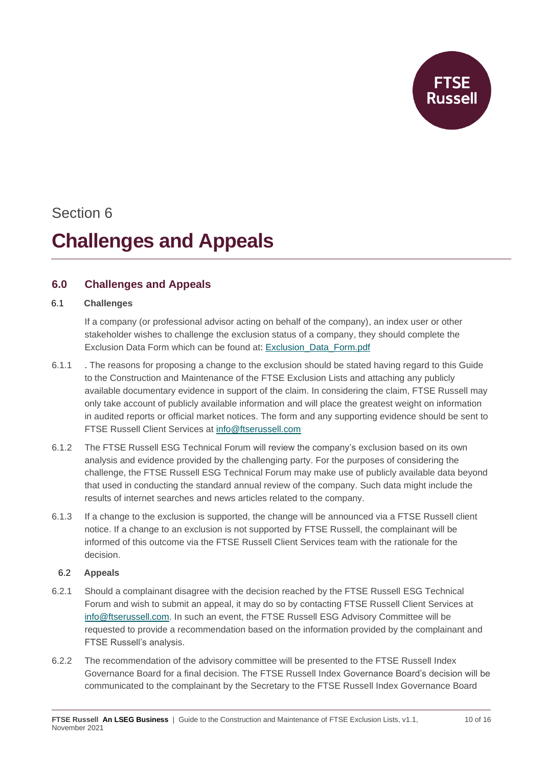**Russell** 

### Section 6

### **Challenges and Appeals**

#### **6.0 Challenges and Appeals**

#### 6.1 **Challenges**

If a company (or professional advisor acting on behalf of the company), an index user or other stakeholder wishes to challenge the exclusion status of a company, they should complete the Exclusion Data Form which can be found at: [Exclusion\\_Data\\_Form.pdf](https://research.ftserussell.com/products/downloads/Exclusion_Data_Form.pdf)

- 6.1.1 . The reasons for proposing a change to the exclusion should be stated having regard to this Guide to the Construction and Maintenance of the FTSE Exclusion Lists and attaching any publicly available documentary evidence in support of the claim. In considering the claim, FTSE Russell may only take account of publicly available information and will place the greatest weight on information in audited reports or official market notices. The form and any supporting evidence should be sent to FTSE Russell Client Services at [info@ftserussell.com](mailto:info@ftserussell.com)
- 6.1.2 The FTSE Russell ESG Technical Forum will review the company's exclusion based on its own analysis and evidence provided by the challenging party. For the purposes of considering the challenge, the FTSE Russell ESG Technical Forum may make use of publicly available data beyond that used in conducting the standard annual review of the company. Such data might include the results of internet searches and news articles related to the company.
- 6.1.3 If a change to the exclusion is supported, the change will be announced via a FTSE Russell client notice. If a change to an exclusion is not supported by FTSE Russell, the complainant will be informed of this outcome via the FTSE Russell Client Services team with the rationale for the decision.

#### 6.2 **Appeals**

- 6.2.1 Should a complainant disagree with the decision reached by the FTSE Russell ESG Technical Forum and wish to submit an appeal, it may do so by contacting FTSE Russell Client Services at [info@ftserussell.com.](file:///C:/Users/jsaleeba/AppData/Local/Microsoft/Windows/INetCache/Content.Outlook/BTGCJT2T/info@ftserussell.com) In such an event, the FTSE Russell ESG Advisory Committee will be requested to provide a recommendation based on the information provided by the complainant and FTSE Russell's analysis.
- 6.2.2 The recommendation of the advisory committee will be presented to the FTSE Russell Index Governance Board for a final decision. The FTSE Russell Index Governance Board's decision will be communicated to the complainant by the Secretary to the FTSE Russell Index Governance Board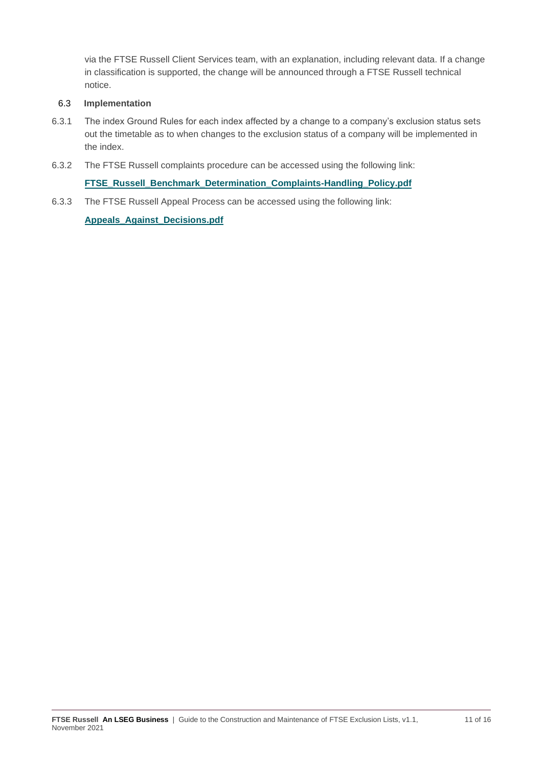via the FTSE Russell Client Services team, with an explanation, including relevant data. If a change in classification is supported, the change will be announced through a FTSE Russell technical notice.

#### 6.3 **Implementation**

- 6.3.1 The index Ground Rules for each index affected by a change to a company's exclusion status sets out the timetable as to when changes to the exclusion status of a company will be implemented in the index.
- 6.3.2 The FTSE Russell complaints procedure can be accessed using the following link:

**[FTSE\\_Russell\\_Benchmark\\_Determination\\_Complaints-Handling\\_Policy.pdf](https://research.ftserussell.com/products/downloads/FTSE_Russell_Benchmark_Determination_Complaints-Handling_Policy.pdf)**

6.3.3 The FTSE Russell Appeal Process can be accessed using the following link:

**[Appeals\\_Against\\_Decisions.pdf](https://research.ftserussell.com/products/downloads/Appeals_Against_Decisions.pdf)**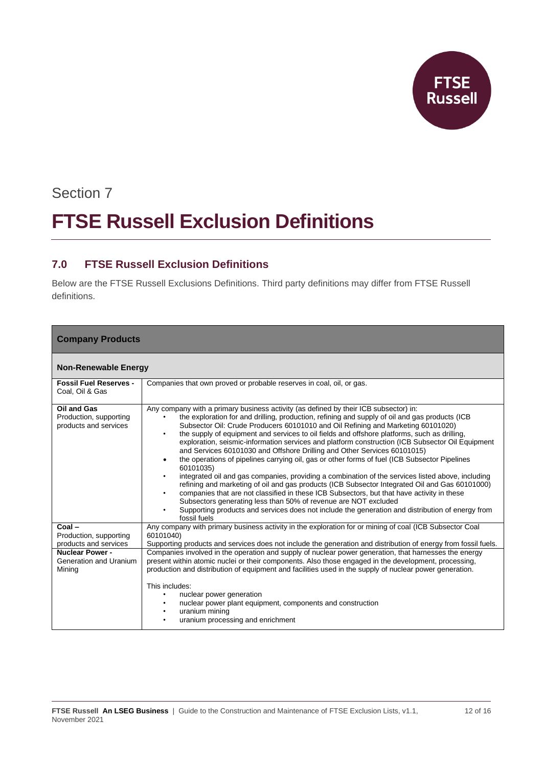

# Section 7 **FTSE Russell Exclusion Definitions**

#### **7.0 FTSE Russell Exclusion Definitions**

Below are the FTSE Russell Exclusions Definitions. Third party definitions may differ from FTSE Russell definitions.

| <b>Company Products</b>                                        |                                                                                                                                                                                                                                                                                                                                                                                                                                                                                                                                                                                                                                                                                                                                                                                                                                                                                                                                                                                                                                                                                                                                                                      |  |  |  |
|----------------------------------------------------------------|----------------------------------------------------------------------------------------------------------------------------------------------------------------------------------------------------------------------------------------------------------------------------------------------------------------------------------------------------------------------------------------------------------------------------------------------------------------------------------------------------------------------------------------------------------------------------------------------------------------------------------------------------------------------------------------------------------------------------------------------------------------------------------------------------------------------------------------------------------------------------------------------------------------------------------------------------------------------------------------------------------------------------------------------------------------------------------------------------------------------------------------------------------------------|--|--|--|
| <b>Non-Renewable Energy</b>                                    |                                                                                                                                                                                                                                                                                                                                                                                                                                                                                                                                                                                                                                                                                                                                                                                                                                                                                                                                                                                                                                                                                                                                                                      |  |  |  |
| <b>Fossil Fuel Reserves -</b><br>Coal, Oil & Gas               | Companies that own proved or probable reserves in coal, oil, or gas.                                                                                                                                                                                                                                                                                                                                                                                                                                                                                                                                                                                                                                                                                                                                                                                                                                                                                                                                                                                                                                                                                                 |  |  |  |
| Oil and Gas<br>Production, supporting<br>products and services | Any company with a primary business activity (as defined by their ICB subsector) in:<br>the exploration for and drilling, production, refining and supply of oil and gas products (ICB<br>Subsector Oil: Crude Producers 60101010 and Oil Refining and Marketing 60101020)<br>the supply of equipment and services to oil fields and offshore platforms, such as drilling,<br>exploration, seismic-information services and platform construction (ICB Subsector Oil Equipment<br>and Services 60101030 and Offshore Drilling and Other Services 60101015)<br>the operations of pipelines carrying oil, gas or other forms of fuel (ICB Subsector Pipelines<br>60101035)<br>integrated oil and gas companies, providing a combination of the services listed above, including<br>refining and marketing of oil and gas products (ICB Subsector Integrated Oil and Gas 60101000)<br>companies that are not classified in these ICB Subsectors, but that have activity in these<br>Subsectors generating less than 50% of revenue are NOT excluded<br>Supporting products and services does not include the generation and distribution of energy from<br>fossil fuels |  |  |  |
| $Coal -$<br>Production, supporting<br>products and services    | Any company with primary business activity in the exploration for or mining of coal (ICB Subsector Coal<br>60101040)<br>Supporting products and services does not include the generation and distribution of energy from fossil fuels.                                                                                                                                                                                                                                                                                                                                                                                                                                                                                                                                                                                                                                                                                                                                                                                                                                                                                                                               |  |  |  |
| <b>Nuclear Power -</b><br>Generation and Uranium<br>Mining     | Companies involved in the operation and supply of nuclear power generation, that harnesses the energy<br>present within atomic nuclei or their components. Also those engaged in the development, processing,<br>production and distribution of equipment and facilities used in the supply of nuclear power generation.                                                                                                                                                                                                                                                                                                                                                                                                                                                                                                                                                                                                                                                                                                                                                                                                                                             |  |  |  |
|                                                                | This includes:<br>nuclear power generation<br>nuclear power plant equipment, components and construction<br>uranium mining<br>uranium processing and enrichment                                                                                                                                                                                                                                                                                                                                                                                                                                                                                                                                                                                                                                                                                                                                                                                                                                                                                                                                                                                                      |  |  |  |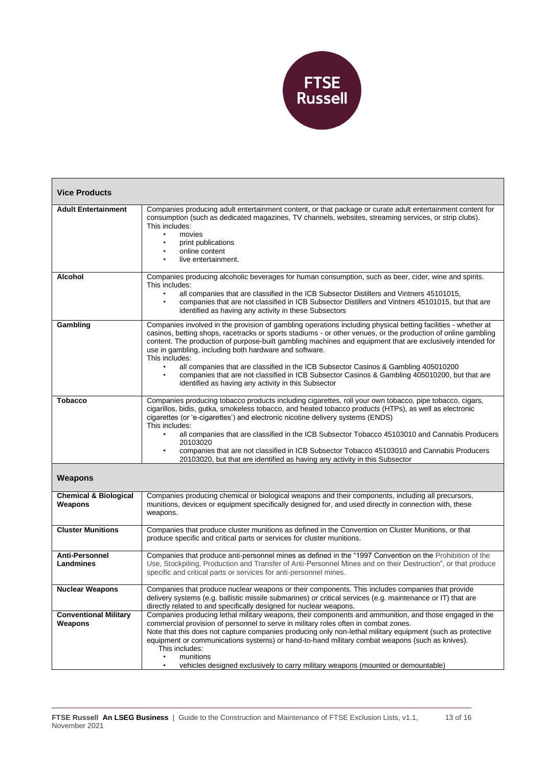

| <b>Vice Products</b>                        |                                                                                                                                                                                                                                                                                                                                                                                                                                                                                                                                                                                                                                                                                      |  |  |  |
|---------------------------------------------|--------------------------------------------------------------------------------------------------------------------------------------------------------------------------------------------------------------------------------------------------------------------------------------------------------------------------------------------------------------------------------------------------------------------------------------------------------------------------------------------------------------------------------------------------------------------------------------------------------------------------------------------------------------------------------------|--|--|--|
| <b>Adult Entertainment</b>                  | Companies producing adult entertainment content, or that package or curate adult entertainment content for<br>consumption (such as dedicated magazines, TV channels, websites, streaming services, or strip clubs).<br>This includes:<br>movies<br>$\bullet$<br>print publications<br>online content<br>live entertainment.                                                                                                                                                                                                                                                                                                                                                          |  |  |  |
| <b>Alcohol</b>                              | Companies producing alcoholic beverages for human consumption, such as beer, cider, wine and spirits.<br>This includes:<br>all companies that are classified in the ICB Subsector Distillers and Vintners 45101015.<br>companies that are not classified in ICB Subsector Distillers and Vintners 45101015, but that are<br>identified as having any activity in these Subsectors                                                                                                                                                                                                                                                                                                    |  |  |  |
| Gambling                                    | Companies involved in the provision of gambling operations including physical betting facilities - whether at<br>casinos, betting shops, racetracks or sports stadiums - or other venues, or the production of online gambling<br>content. The production of purpose-built gambling machines and equipment that are exclusively intended for<br>use in gambling, including both hardware and software.<br>This includes:<br>all companies that are classified in the ICB Subsector Casinos & Gambling 405010200<br>companies that are not classified in ICB Subsector Casinos & Gambling 405010200, but that are<br>$\bullet$<br>identified as having any activity in this Subsector |  |  |  |
| <b>Tobacco</b>                              | Companies producing tobacco products including cigarettes, roll your own tobacco, pipe tobacco, cigars,<br>cigarillos, bidis, gutka, smokeless tobacco, and heated tobacco products (HTPs), as well as electronic<br>cigarettes (or 'e-cigarettes') and electronic nicotine delivery systems (ENDS)<br>This includes:<br>all companies that are classified in the ICB Subsector Tobacco 45103010 and Cannabis Producers<br>20103020<br>companies that are not classified in ICB Subsector Tobacco 45103010 and Cannabis Producers<br>20103020, but that are identified as having any activity in this Subsector                                                                      |  |  |  |
| <b>Weapons</b>                              |                                                                                                                                                                                                                                                                                                                                                                                                                                                                                                                                                                                                                                                                                      |  |  |  |
| <b>Chemical &amp; Biological</b><br>Weapons | Companies producing chemical or biological weapons and their components, including all precursors,<br>munitions, devices or equipment specifically designed for, and used directly in connection with, these<br>weapons.                                                                                                                                                                                                                                                                                                                                                                                                                                                             |  |  |  |
| <b>Cluster Munitions</b>                    | Companies that produce cluster munitions as defined in the Convention on Cluster Munitions, or that<br>produce specific and critical parts or services for cluster munitions.                                                                                                                                                                                                                                                                                                                                                                                                                                                                                                        |  |  |  |
| <b>Anti-Personnel</b><br>Landmines          | Companies that produce anti-personnel mines as defined in the "1997 Convention on the Prohibition of the<br>Use, Stockpiling, Production and Transfer of Anti-Personnel Mines and on their Destruction", or that produce<br>specific and critical parts or services for anti-personnel mines.                                                                                                                                                                                                                                                                                                                                                                                        |  |  |  |
| <b>Nuclear Weapons</b>                      | Companies that produce nuclear weapons or their components. This includes companies that provide<br>delivery systems (e.g. ballistic missile submarines) or critical services (e.g. maintenance or IT) that are<br>directly related to and specifically designed for nuclear weapons.                                                                                                                                                                                                                                                                                                                                                                                                |  |  |  |
| <b>Conventional Military</b><br>Weapons     | Companies producing lethal military weapons, their components and ammunition, and those engaged in the<br>commercial provision of personnel to serve in military roles often in combat zones.<br>Note that this does not capture companies producing only non-lethal military equipment (such as protective<br>equipment or communications systems) or hand-to-hand military combat weapons (such as knives).<br>This includes:<br>munitions<br>vehicles designed exclusively to carry military weapons (mounted or demountable)<br>$\bullet$                                                                                                                                        |  |  |  |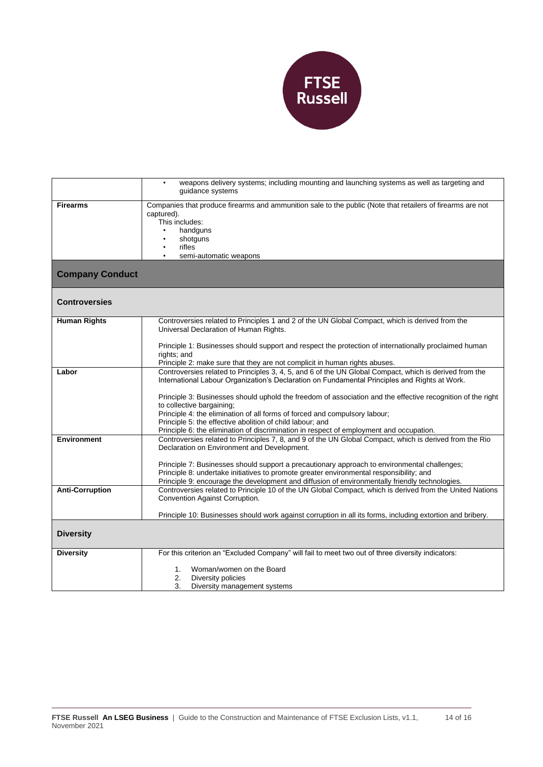

|                        | weapons delivery systems; including mounting and launching systems as well as targeting and<br>$\bullet$    |
|------------------------|-------------------------------------------------------------------------------------------------------------|
|                        | quidance systems                                                                                            |
|                        |                                                                                                             |
| <b>Firearms</b>        | Companies that produce firearms and ammunition sale to the public (Note that retailers of firearms are not  |
|                        | captured).                                                                                                  |
|                        | This includes:                                                                                              |
|                        | handguns                                                                                                    |
|                        | shotguns                                                                                                    |
|                        | rifles                                                                                                      |
|                        | semi-automatic weapons<br>$\bullet$                                                                         |
|                        |                                                                                                             |
| <b>Company Conduct</b> |                                                                                                             |
|                        |                                                                                                             |
|                        |                                                                                                             |
| <b>Controversies</b>   |                                                                                                             |
|                        |                                                                                                             |
|                        |                                                                                                             |
| <b>Human Rights</b>    | Controversies related to Principles 1 and 2 of the UN Global Compact, which is derived from the             |
|                        | Universal Declaration of Human Rights.                                                                      |
|                        |                                                                                                             |
|                        | Principle 1: Businesses should support and respect the protection of internationally proclaimed human       |
|                        | rights; and                                                                                                 |
|                        | Principle 2: make sure that they are not complicit in human rights abuses.                                  |
| Labor                  | Controversies related to Principles 3, 4, 5, and 6 of the UN Global Compact, which is derived from the      |
|                        | International Labour Organization's Declaration on Fundamental Principles and Rights at Work.               |
|                        |                                                                                                             |
|                        | Principle 3: Businesses should uphold the freedom of association and the effective recognition of the right |
|                        | to collective bargaining;                                                                                   |
|                        | Principle 4: the elimination of all forms of forced and compulsory labour;                                  |
|                        | Principle 5: the effective abolition of child labour; and                                                   |
|                        | Principle 6: the elimination of discrimination in respect of employment and occupation.                     |
| <b>Environment</b>     | Controversies related to Principles 7, 8, and 9 of the UN Global Compact, which is derived from the Rio     |
|                        |                                                                                                             |
|                        | Declaration on Environment and Development.                                                                 |
|                        |                                                                                                             |
|                        | Principle 7: Businesses should support a precautionary approach to environmental challenges;                |
|                        | Principle 8: undertake initiatives to promote greater environmental responsibility; and                     |
|                        | Principle 9: encourage the development and diffusion of environmentally friendly technologies.              |
| <b>Anti-Corruption</b> | Controversies related to Principle 10 of the UN Global Compact, which is derived from the United Nations    |
|                        | Convention Against Corruption.                                                                              |
|                        |                                                                                                             |
|                        | Principle 10: Businesses should work against corruption in all its forms, including extortion and bribery.  |
|                        |                                                                                                             |
| <b>Diversity</b>       |                                                                                                             |
|                        |                                                                                                             |
|                        |                                                                                                             |
| <b>Diversity</b>       | For this criterion an "Excluded Company" will fail to meet two out of three diversity indicators:           |
|                        |                                                                                                             |
|                        | Woman/women on the Board<br>1.                                                                              |
|                        | 2.<br>Diversity policies                                                                                    |
|                        | 3.<br>Diversity management systems                                                                          |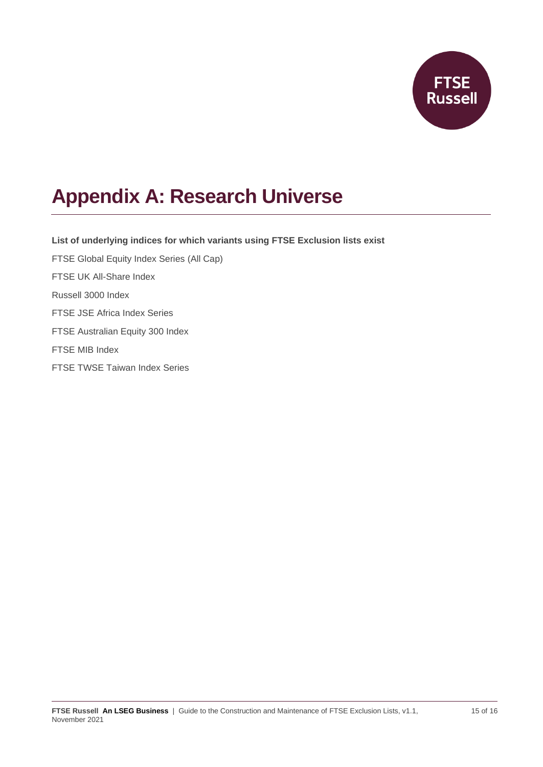

## **Appendix A: Research Universe**

**List of underlying indices for which variants using FTSE Exclusion lists exist** FTSE Global Equity Index Series (All Cap) FTSE UK All-Share Index Russell 3000 Index FTSE JSE Africa Index Series FTSE Australian Equity 300 Index FTSE MIB Index FTSE TWSE Taiwan Index Series